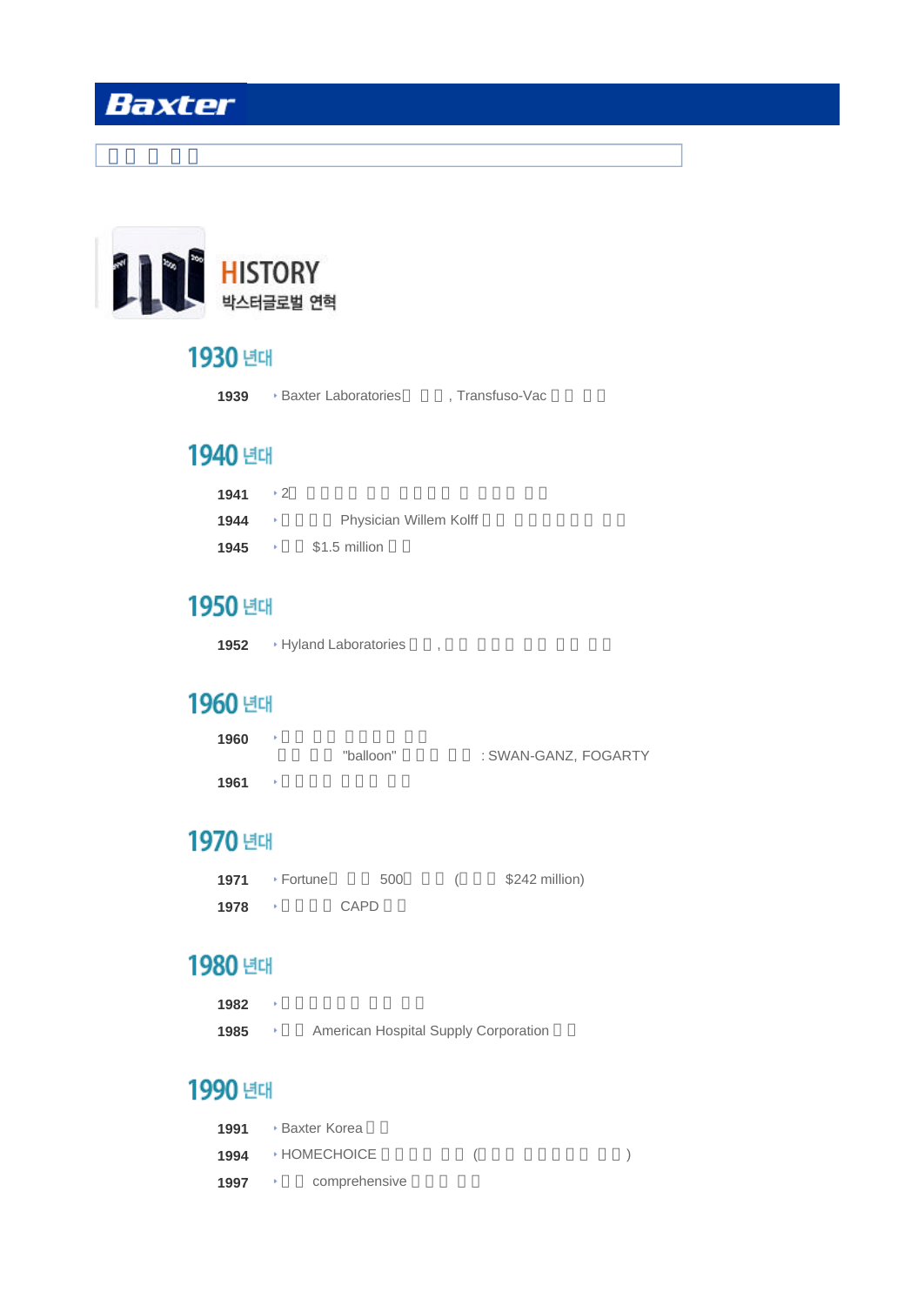

## 1930 년대

| <b>Baxter Laboratories</b><br>1939 | . Transfuso-Vac |  |
|------------------------------------|-----------------|--|
|------------------------------------|-----------------|--|

## 1940 년대

| 1941 | $+2$         |                        |
|------|--------------|------------------------|
| 1944 | - 6          | Physician Willem Kolff |
| 1945 | <b>Harry</b> | \$1.5 million          |

## 1950 년대

1952 **Hyland Laboratories** ,

## 1960 년대

| 1960 | "balloon" | : SWAN-GANZ, FOGARTY |
|------|-----------|----------------------|
| 1961 |           |                      |

# 1970 년대

| 1971 | + Fortune | 500  | \$242 million) |
|------|-----------|------|----------------|
| 1978 |           | CAPD |                |

## 1980 년대

- 1982 <sup>\*</sup>
- 1985 **http://www.fragoration** Hospital Supply Corporation

# 1990 년대

|      | 1991 • Baxter Korea            |  |  |
|------|--------------------------------|--|--|
|      | 1994 <b>HOMECHOICE</b>         |  |  |
| 1997 | comprehensive<br>and House and |  |  |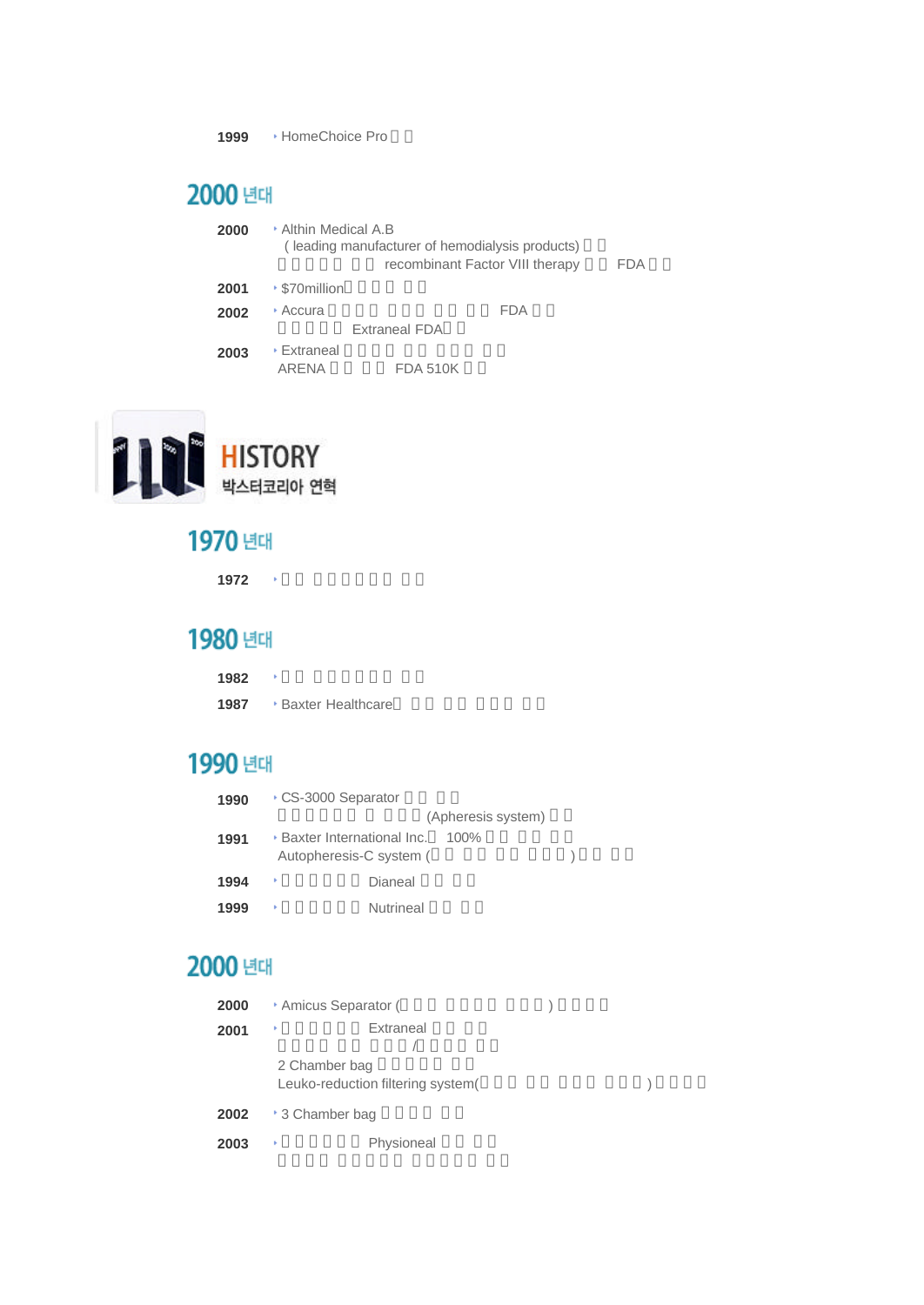1999 **HomeChoice Pro** 

# 2000 년대

| 2000 | ▸ Althin Medical A.B        | (leading manufacturer of hemodialysis products)<br>recombinant Factor VIII therapy | FDA |
|------|-----------------------------|------------------------------------------------------------------------------------|-----|
| 2001 | ▸ \$70million               |                                                                                    |     |
| 2002 | ∗ Accura                    | <b>FDA</b>                                                                         |     |
|      |                             | Extraneal FDA                                                                      |     |
| 2003 | <b>▶ Extraneal</b><br>ARENA | <b>FDA 510K</b>                                                                    |     |



# 1970 년대

1972 **h** 

# 1980 년대

| 1982 |  |  |  |  |  |
|------|--|--|--|--|--|
|------|--|--|--|--|--|

1987 **Baxter Healthcare** 

# 1990 년대

| 1990 | CS-3000 Separator                                             |                    |  |
|------|---------------------------------------------------------------|--------------------|--|
|      |                                                               | (Apheresis system) |  |
| 1991 | <b>· Baxter International Inc.</b><br>Autopheresis-C system ( | $100\%$            |  |
| 1994 | ٠                                                             | Dianeal            |  |
| 1999 | k                                                             | <b>Nutrineal</b>   |  |

## 2000 년대

| 2000 | * Amicus Separator ( |                                   |  |  |
|------|----------------------|-----------------------------------|--|--|
| 2001 | ٠                    | Extraneal                         |  |  |
|      | 2 Chamber bag        | Leuko-reduction filtering system( |  |  |
| 2002 | * 3 Chamber bag      |                                   |  |  |
| 2003 | ٠                    | Physioneal                        |  |  |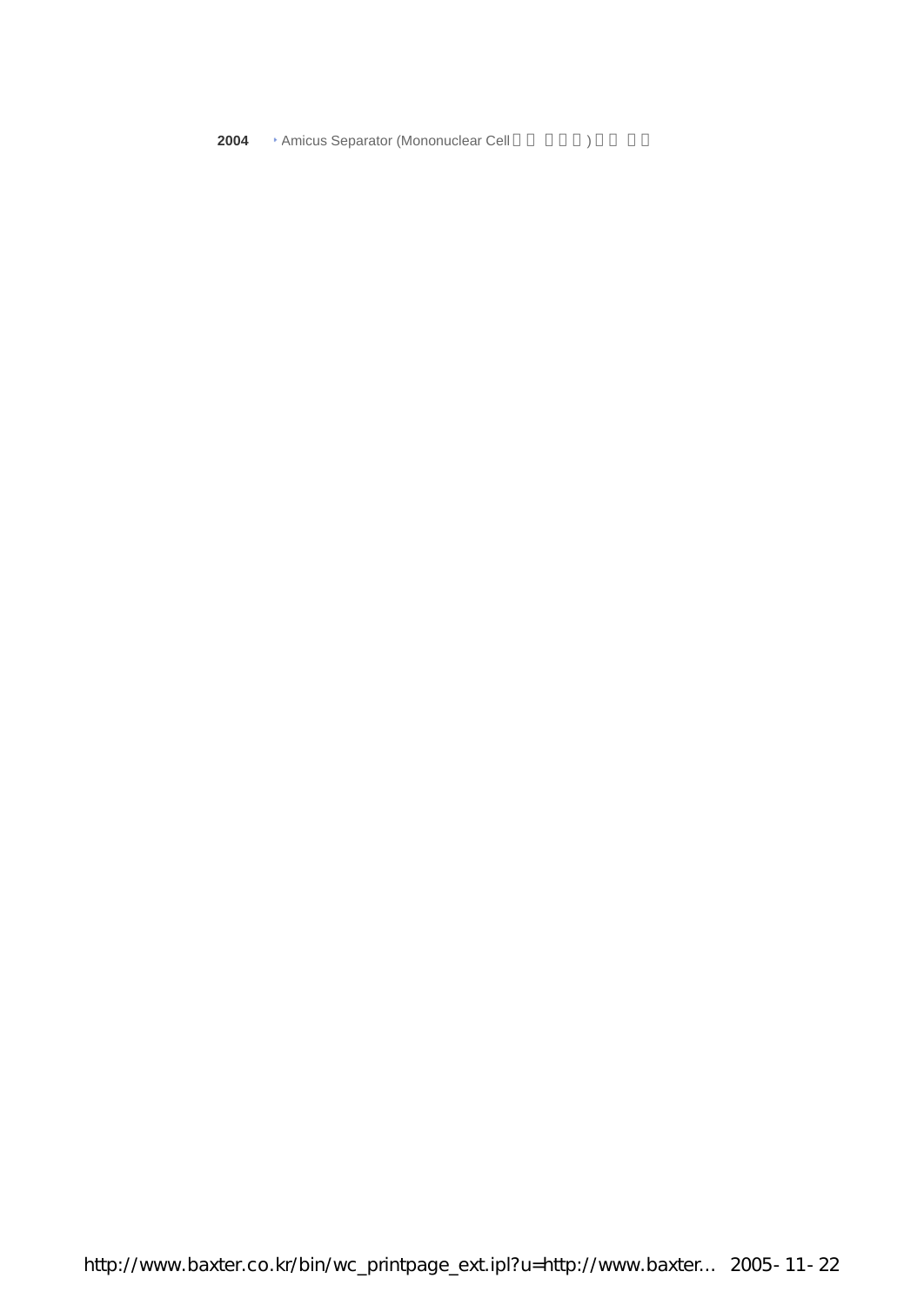**2004** Amicus Separator (Mononuclear Cell  $\qquad \qquad$  )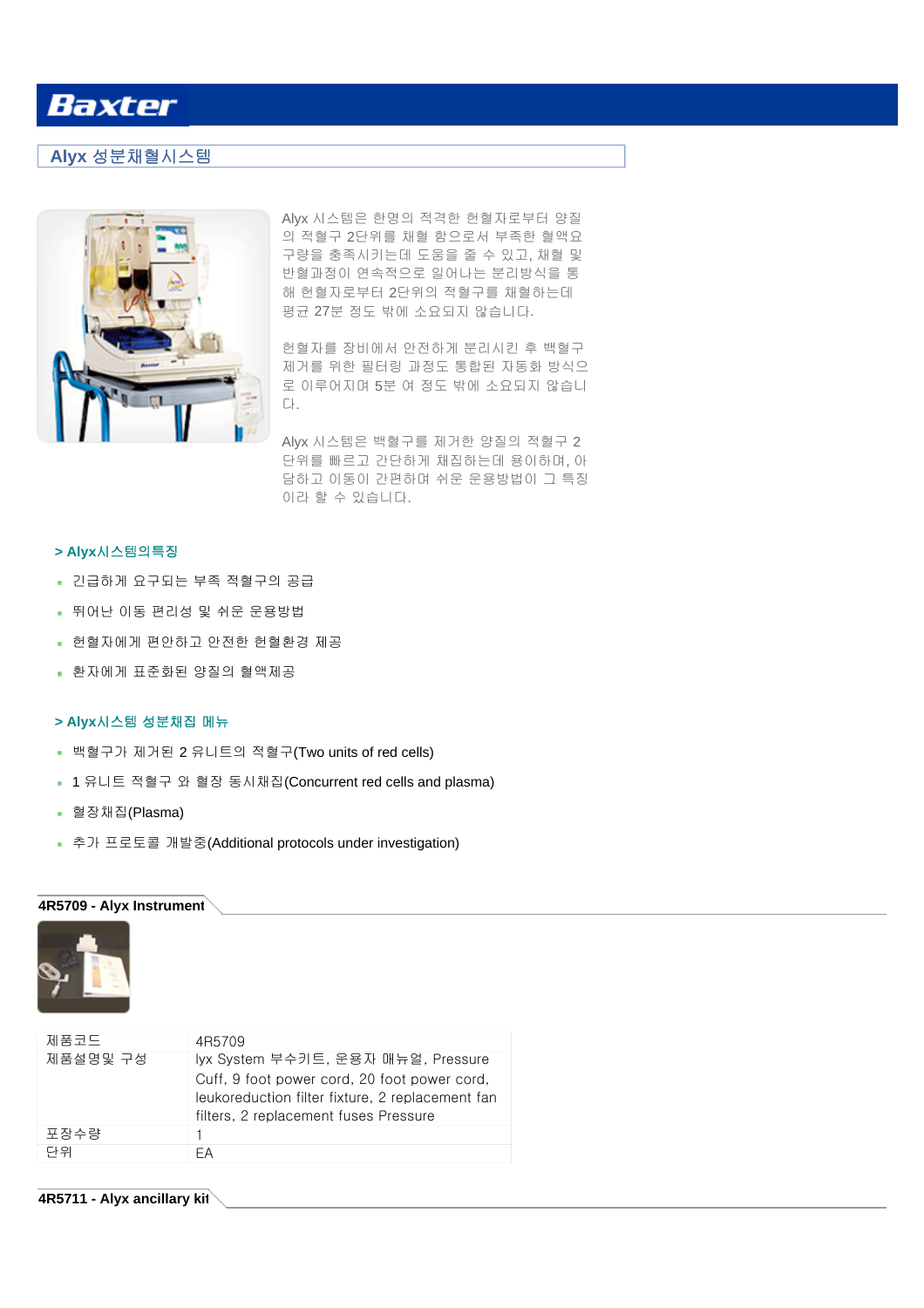## **Alyx** 성분채혈시스템



Alyx 시스템은 한명의 적격한 헌혈자로부터 양질 의 적혈구 2단위를 채혈 함으로서 부족한 혈액요 구량을 충족시키는데 도움을 줄 수 있고, 채혈 및 반혈과정이 연속적으로 일어나는 분리방식을 통 해 헌혈자로부터 2단위의 적혈구를 채혈하는데 평균 27분 정도 밖에 소요되지 않습니다.

헌혈자를 장비에서 안전하게 분리시킨 후 백혈구 제거를 위한 필터링 과정도 통합된 자동화 방식으 로 이루어지며 5분 여 정도 밖에 소요되지 않습니 다.

Alyx 시스템은 백혈구를 제거한 양질의 적혈구 2 단위를 빠르고 간단하게 채집하는데 용이하며, 아 담하고 이동이 간편하며 쉬운 운용방법이 그 특징 이라 할 수 있습니다.

### **> Alyx**시스템의특징

- 긴급하게 요구되는 부족 적혈구의 공급
- 뛰어난 이동 편리성 및 쉬운 운용방법
- 헌혈자에게 편안하고 안전한 헌혈환경 제공
- 환자에게 표준화된 양질의 혈액제공

### **> Alyx**시스템 성분채집 메뉴

- 백혈구가 제거된 2 유니트의 적혈구(Two units of red cells)
- 1 유니트 적혈구 와 혈장 동시채집(Concurrent red cells and plasma)
- 혈장채집(Plasma)
- 추가 프로토콜 개발중(Additional protocols under investigation)

#### **4R5709 - Alyx Instrument**



| 4R5709                                                                                                                                                                          |
|---------------------------------------------------------------------------------------------------------------------------------------------------------------------------------|
| lyx System 부수키트, 운용자 매뉴얼, Pressure<br>Cuff, 9 foot power cord, 20 foot power cord,<br>leukoreduction filter fixture, 2 replacement fan<br>filters, 2 replacement fuses Pressure |
|                                                                                                                                                                                 |
| FА                                                                                                                                                                              |
|                                                                                                                                                                                 |

#### **4R5711 - Alyx ancillary kit**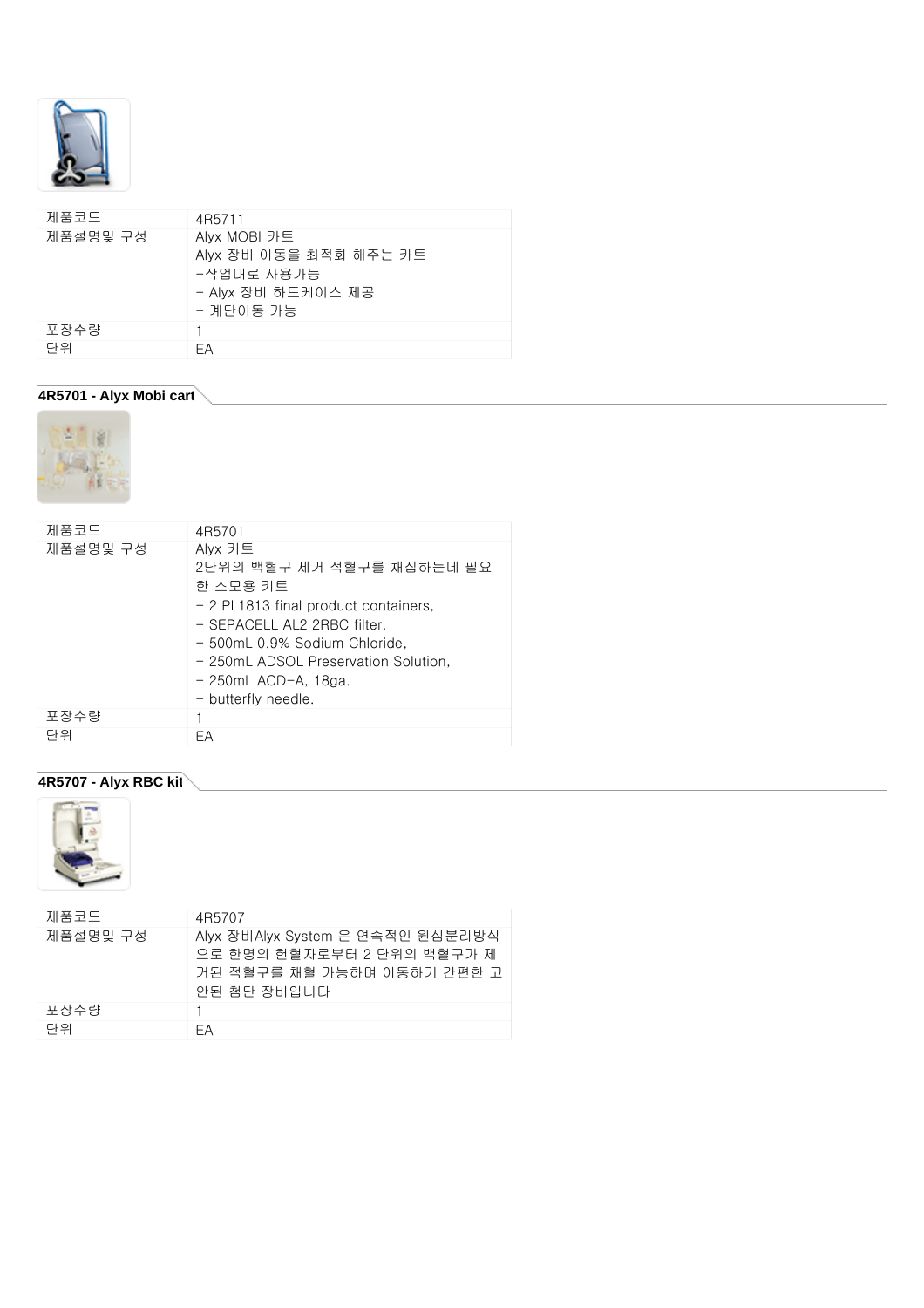

| 제품코드     | 4R5711                 |
|----------|------------------------|
| 제품설명및 구성 | Alyx MOBI 카트           |
|          | Alyx 장비 이동을 최적화 해주는 카트 |
|          | -작업대로 사용가능             |
|          | - Alyx 장비 하드케이스 제공     |
|          | - 계단이동 가능              |
| 포장수량     |                        |
| 단위       | FА                     |

## **4R5701 - Alyx Mobi cart**



| 제품코드     | 4R5701                                                                                                                                                                                                                                          |
|----------|-------------------------------------------------------------------------------------------------------------------------------------------------------------------------------------------------------------------------------------------------|
| 제품설명및 구성 | Alyx 키트<br>2단위의 백혈구 제거 적혈구를 채집하는데 필요<br>한 소모용 키트<br>- 2 PL1813 final product containers,<br>- SEPACELL AL2 2RBC filter.<br>- 500mL 0.9% Sodium Chloride.<br>- 250mL ADSOL Preservation Solution,<br>- 250mL ACD-A, 18ga.<br>- butterfly needle. |
| 포장수량     |                                                                                                                                                                                                                                                 |
| 단위       | FΑ                                                                                                                                                                                                                                              |

## **4R5707 - Alyx RBC kit**



| 제품코드     | 4R5707                                                                                                      |
|----------|-------------------------------------------------------------------------------------------------------------|
| 제품설명및 구성 | Alyx 장비Alyx System 은 연속적인 원심분리방식<br>으로 한명의 헌혈자로부터 2 단위의 백혈구가 제<br>거된 적혈구를 채혈 가능하며 이동하기 간편한 고<br>안된 첨단 장비입니다 |
| 포장수량     |                                                                                                             |
| 다위       | FΑ                                                                                                          |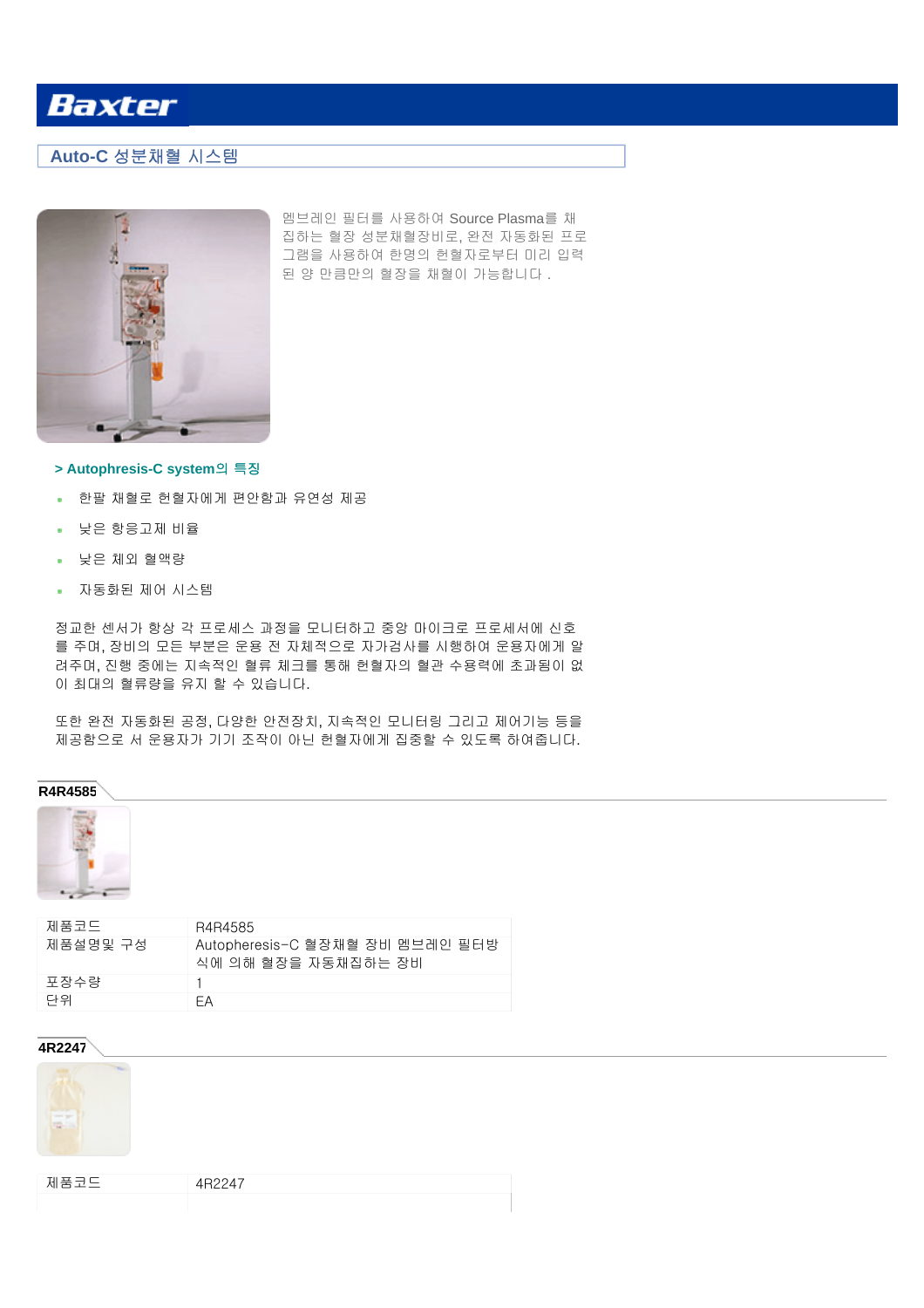## **Auto-C** 성분채혈 시스템



멤브레인 필터를 사용하여 Source Plasma를 채 집하는 혈장 성분채혈장비로, 완전 자동화된 프로 그램을 사용하여 한명의 헌혈자로부터 미리 입력 된 양 만큼만의 혈장을 채혈이 가능합니다 .

### **> Autophresis-C system**의 특징

- 한팔 채혈로 헌혈자에게 편안함과 유연성 제공
- 낮은 항응고제 비율
- 낮은 체외 혈액량
- 자동화된 제어 시스템

정교한 센서가 항상 각 프로세스 과정을 모니터하고 중앙 마이크로 프로세서에 신호 를 주며, 장비의 모든 부분은 운용 전 자체적으로 자가검사를 시행하여 운용자에게 알 려주며, 진행 중에는 지속적인 혈류 체크를 통해 헌혈자의 혈관 수용력에 초과됨이 없 이 최대의 혈류량을 유지 할 수 있습니다.

또한 완전 자동화된 공정, 다양한 안전장치, 지속적인 모니터링 그리고 제어기능 등을 제공함으로 서 운용자가 기기 조작이 아닌 헌혈자에게 집중할 수 있도록 하여줍니다.

### **R4R4585**



| 제품코드     | R4R4585                                                |
|----------|--------------------------------------------------------|
| 제품설명및 구성 | Autopheresis-C 혈장채혈 장비 멤브레인 필터방<br>식에 의해 혈장을 자동채집하는 장비 |
| 포장수량     |                                                        |
| 단위       | FΑ                                                     |

#### **4R2247**



| 제품코드 | $A$ R <sub>22</sub> $A$ 7 |
|------|---------------------------|
|      |                           |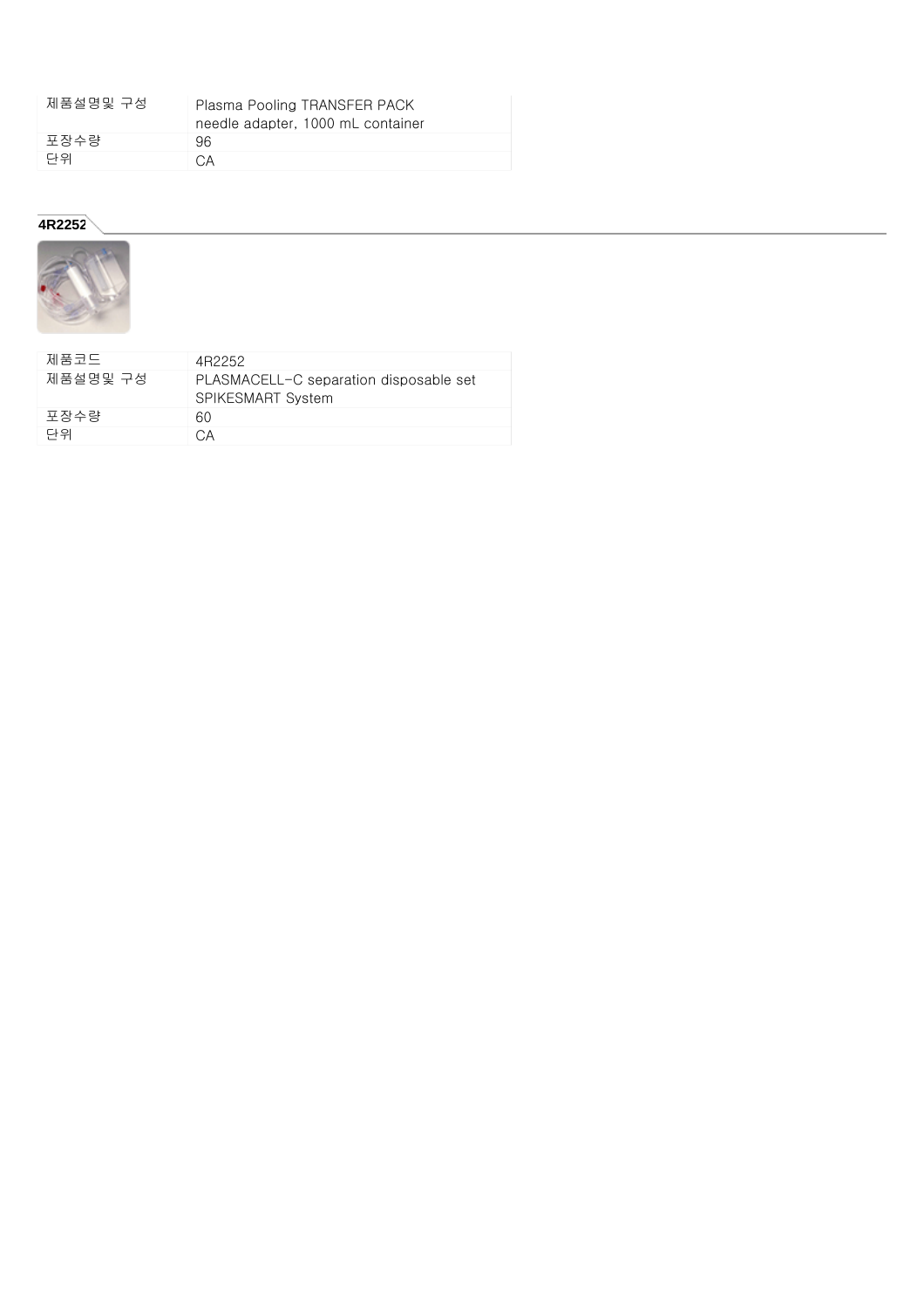| 제품설명및 구성 | Plasma Pooling TRANSFER PACK      |
|----------|-----------------------------------|
|          | needle adapter, 1000 mL container |
| 포장수량     | 96.                               |
| 단위       | C.A                               |

### **4R2252**



| 제품코드     | 4R2252                                                             |
|----------|--------------------------------------------------------------------|
| 제품설명및 구성 | PLASMACELL-C separation disposable set<br><b>SPIKESMART System</b> |
| 포장수량     | 60                                                                 |
| 단위       | CА                                                                 |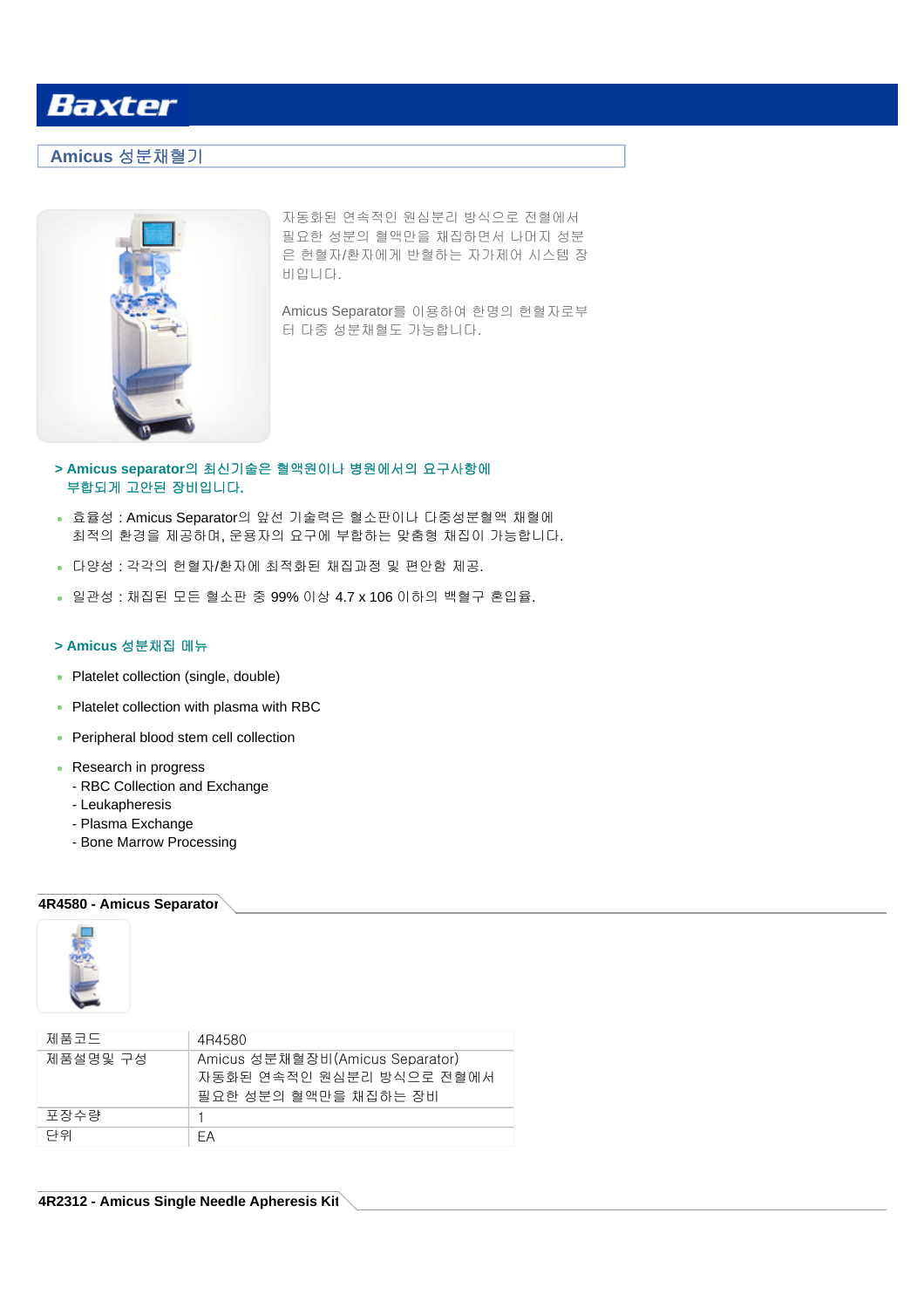## **Amicus** 성분채혈기



자동화된 연속적인 원심분리 방식으로 전혈에서 필요한 성분의 혈액만을 채집하면서 나머지 성분 은 헌혈자/환자에게 반혈하는 자가제어 시스템 장 비입니다.

Amicus Separator를 이용하여 한명의 헌혈자로부 터 다중 성분채혈도 가능합니다.

### **> Amicus separator**의 최신기술은 혈액원이나 병원에서의 요구사항에 부합되게 고안된 장비입니다**.**

- 효율성 : Amicus Separator의 앞선 기술력은 혈소판이나 다중성분혈액 채혈에 최적의 환경을 제공하며, 운용자의 요구에 부합하는 맞춤형 채집이 가능합니다.
- 다양성 : 각각의 헌혈자/환자에 최적화된 채집과정 및 편안함 제공.
- 일관성 : 채집된 모든 혈소판 중 99% 이상 4.7 x 106 이하의 백혈구 혼입율.

#### **> Amicus** 성분채집 메뉴

- Platelet collection (single, double)
- Platelet collection with plasma with RBC
- Peripheral blood stem cell collection
- Research in progress
	- RBC Collection and Exchange
	- Leukapheresis
	- Plasma Exchange
	- Bone Marrow Processing

### **4R4580 - Amicus Separator**



| 제품코드     | 4R4580                                                                              |
|----------|-------------------------------------------------------------------------------------|
| 제품설명및 구성 | Amicus 성분채혈장비(Amicus Separator)<br>자동화된 연속적인 원심분리 방식으로 전혈에서<br>필요한 성분의 혈액만을 채집하는 장비 |
| 포장수량     |                                                                                     |
| 단위       | FΑ                                                                                  |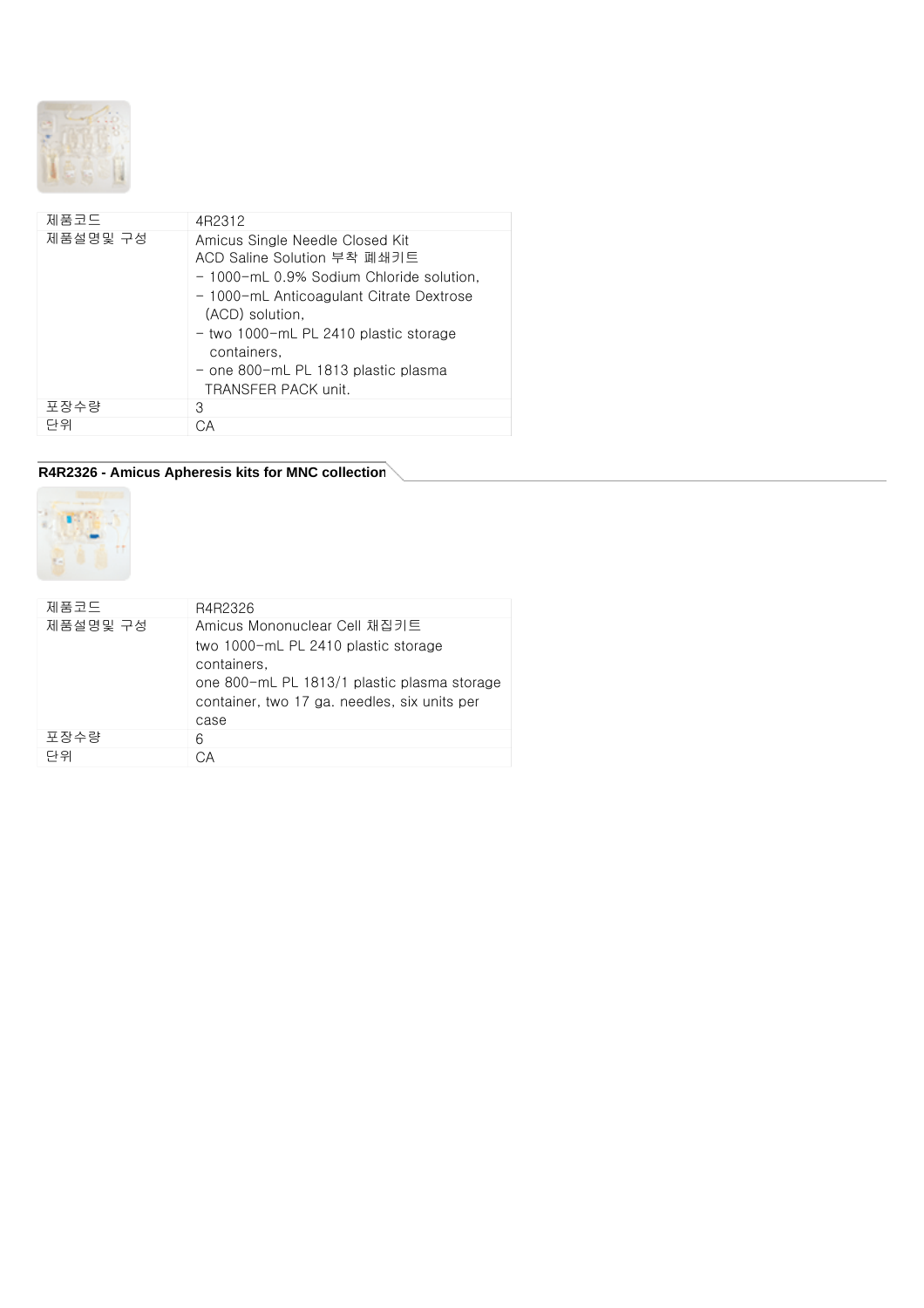

| 제품코드     | 4R2312                                                                                                                                                                                                                                                                                                 |
|----------|--------------------------------------------------------------------------------------------------------------------------------------------------------------------------------------------------------------------------------------------------------------------------------------------------------|
| 제품설명및 구성 | Amicus Single Needle Closed Kit<br>ACD Saline Solution 부착 폐쇄키트<br>- 1000-mL 0.9% Sodium Chloride solution,<br>- 1000-mL Anticoagulant Citrate Dextrose<br>(ACD) solution,<br>- two 1000-mL PL 2410 plastic storage<br>containers.<br>- one 800-mL PL 1813 plastic plasma<br><b>TRANSFER PACK unit.</b> |
| 포장수량     | З                                                                                                                                                                                                                                                                                                      |
| 단위       | CА                                                                                                                                                                                                                                                                                                     |

## **R4R2326 - Amicus Apheresis kits for MNC collection**



| 제품코드     | R4R2326                                                                                                                                                                                   |
|----------|-------------------------------------------------------------------------------------------------------------------------------------------------------------------------------------------|
| 제품설명및 구성 | Amicus Mononuclear Cell 채집키트<br>two 1000-mL PL 2410 plastic storage<br>containers,<br>one 800-mL PL 1813/1 plastic plasma storage<br>container, two 17 ga. needles, six units per<br>case |
| 포장수량     | 6                                                                                                                                                                                         |
| 다위       | CΑ                                                                                                                                                                                        |
|          |                                                                                                                                                                                           |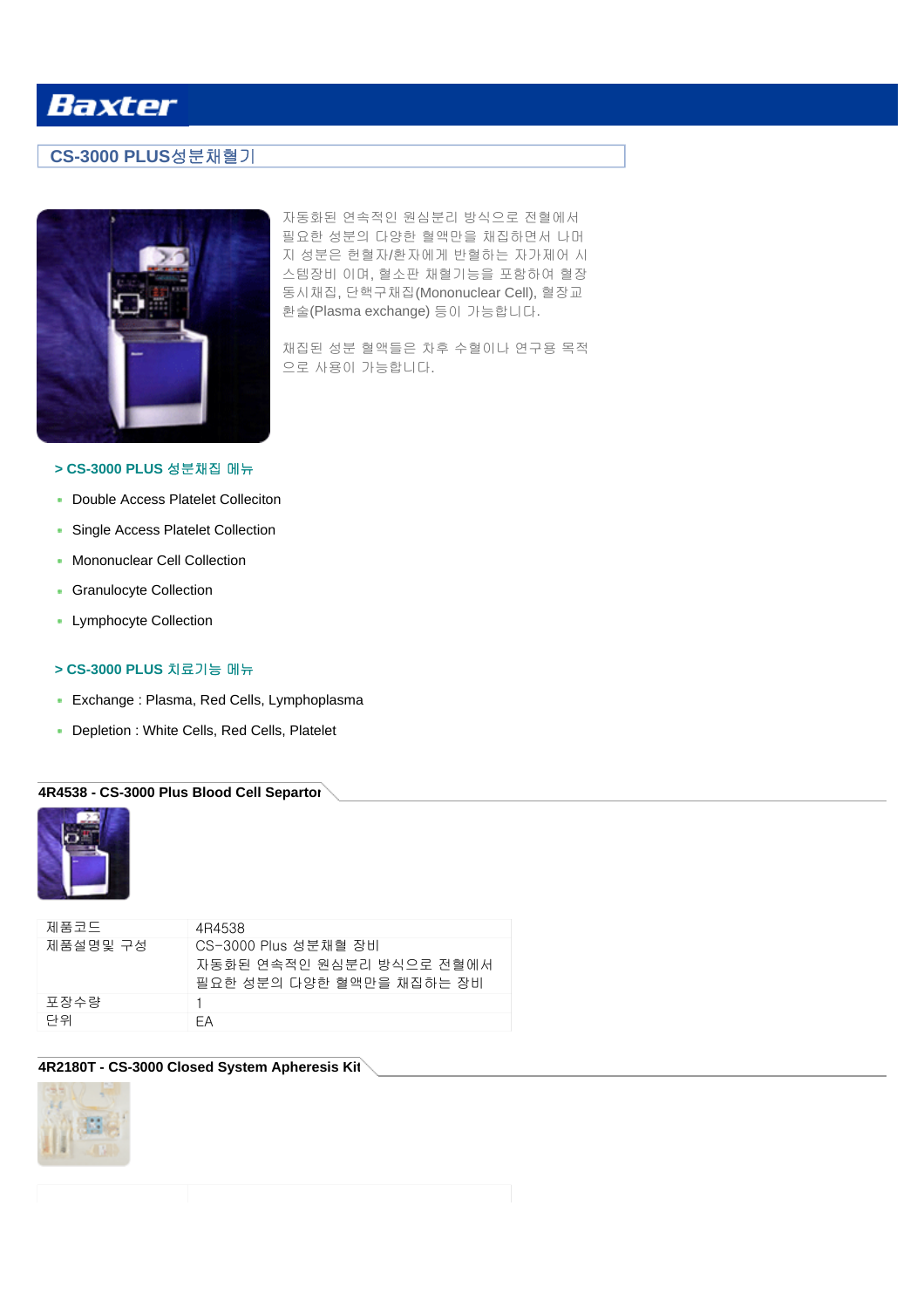## **CS-3000 PLUS**성분채혈기



자동화된 연속적인 원심분리 방식으로 전혈에서 필요한 성분의 다양한 혈액만을 채집하면서 나머 지 성분은 헌혈자/환자에게 반혈하는 자가제어 시 스템장비 이며, 혈소판 채혈기능을 포함하여 혈장 동시채집, 단핵구채집(Mononuclear Cell), 혈장교 환술(Plasma exchange) 등이 가능합니다.

채집된 성분 혈액들은 차후 수혈이나 연구용 목적 으로 사용이 가능합니다.

### **> CS-3000 PLUS** 성분채집 메뉴

- **Double Access Platelet Colleciton**
- Single Access Platelet Collection
- **Mononuclear Cell Collection**
- **Granulocyte Collection**
- **-** Lymphocyte Collection

#### **> CS-3000 PLUS** 치료기능 메뉴

- Exchange : Plasma, Red Cells, Lymphoplasma
- Depletion : White Cells, Red Cells, Platelet

### **4R4538 - CS-3000 Plus Blood Cell Separtor**



| 제품코드     | 4R4538                   |
|----------|--------------------------|
| 제품설명및 구성 | CS-3000 Plus 성분채혈 장비     |
|          | 자동하된 연속적인 원심부리 방식으로 전혈에서 |
|          | 필요한 성분의 다양한 혈액만을 채집하는 장비 |
| 포장수량     |                          |
| 단위       | FΑ                       |

### **4R2180T - CS-3000 Closed System Apheresis Kit**